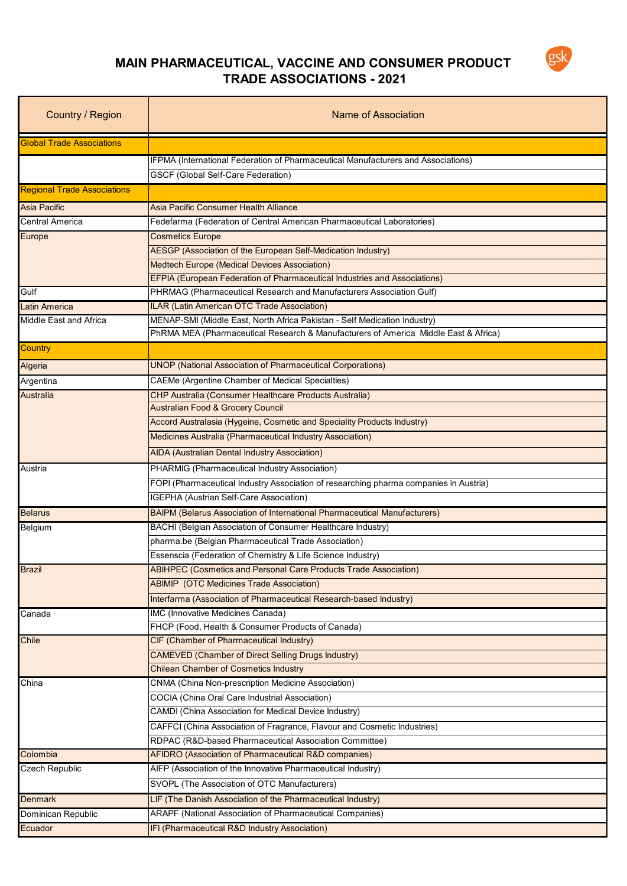

## **MAIN PHARMACEUTICAL, VACCINE AND CONSUMER PRODUCT TRADE ASSOCIATIONS - 2021**

| Country / Region                   | Name of Association                                                                                                                     |
|------------------------------------|-----------------------------------------------------------------------------------------------------------------------------------------|
| <b>Global Trade Associations</b>   |                                                                                                                                         |
|                                    | IFPMA (International Federation of Pharmaceutical Manufacturers and Associations)                                                       |
|                                    | <b>GSCF (Global Self-Care Federation)</b>                                                                                               |
| <b>Regional Trade Associations</b> |                                                                                                                                         |
| <b>Asia Pacific</b>                | Asia Pacific Consumer Health Alliance                                                                                                   |
| <b>Central America</b>             | Fedefarma (Federation of Central American Pharmaceutical Laboratories)                                                                  |
| Europe                             | <b>Cosmetics Europe</b>                                                                                                                 |
|                                    | AESGP (Association of the European Self-Medication Industry)                                                                            |
|                                    | Medtech Europe (Medical Devices Association)                                                                                            |
|                                    | EFPIA (European Federation of Pharmaceutical Industries and Associations)                                                               |
| Gulf                               | PHRMAG (Pharmaceutical Research and Manufacturers Association Gulf)                                                                     |
| <b>Latin America</b>               | <b>ILAR (Latin American OTC Trade Association)</b>                                                                                      |
| Middle East and Africa             | MENAP-SMI (Middle East, North Africa Pakistan - Self Medication Industry)                                                               |
|                                    | PhRMA MEA (Pharmaceutical Research & Manufacturers of America Middle East & Africa)                                                     |
| Country                            |                                                                                                                                         |
| Algeria                            | <b>UNOP (National Association of Pharmaceutical Corporations)</b>                                                                       |
| Argentina                          | <b>CAEMe (Argentine Chamber of Medical Specialties)</b>                                                                                 |
| <b>Australia</b>                   | CHP Australia (Consumer Healthcare Products Australia)                                                                                  |
|                                    | <b>Australian Food &amp; Grocery Council</b>                                                                                            |
|                                    | Accord Australasia (Hygeine, Cosmetic and Speciality Products Industry)                                                                 |
|                                    | Medicines Australia (Pharmaceutical Industry Association)                                                                               |
|                                    | AIDA (Australian Dental Industry Association)                                                                                           |
|                                    | PHARMIG (Pharmaceutical Industry Association)                                                                                           |
| Austria                            |                                                                                                                                         |
|                                    | FOPI (Pharmaceutical Industry Association of researching pharma companies in Austria)<br><b>IGEPHA (Austrian Self-Care Association)</b> |
|                                    |                                                                                                                                         |
| <b>Belarus</b>                     | BAIPM (Belarus Association of International Pharmaceutical Manufacturers)                                                               |
| Belgium                            | BACHI (Belgian Association of Consumer Healthcare Industry)<br>pharma.be (Belgian Pharmaceutical Trade Association)                     |
|                                    |                                                                                                                                         |
|                                    | Essenscia (Federation of Chemistry & Life Science Industry)                                                                             |
| <b>Brazil</b>                      | ABIHPEC (Cosmetics and Personal Care Products Trade Association)                                                                        |
|                                    | <b>ABIMIP</b> (OTC Medicines Trade Association)<br>Interfarma (Association of Pharmaceutical Research-based Industry)                   |
|                                    |                                                                                                                                         |
| Canada                             | IMC (Innovative Medicines Canada)<br>FHCP (Food, Health & Consumer Products of Canada)                                                  |
| Chile                              | CIF (Chamber of Pharmaceutical Industry)                                                                                                |
|                                    | <b>CAMEVED (Chamber of Direct Selling Drugs Industry)</b>                                                                               |
|                                    | <b>Chilean Chamber of Cosmetics Industry</b>                                                                                            |
| China                              | CNMA (China Non-prescription Medicine Association)                                                                                      |
|                                    | COCIA (China Oral Care Industrial Association)                                                                                          |
|                                    | CAMDI (China Association for Medical Device Industry)                                                                                   |
|                                    | CAFFCI (China Association of Fragrance, Flavour and Cosmetic Industries)                                                                |
|                                    | RDPAC (R&D-based Pharmaceutical Association Committee)                                                                                  |
| Colombia                           | AFIDRO (Association of Pharmaceutical R&D companies)                                                                                    |
| Czech Republic                     | AIFP (Association of the Innovative Pharmaceutical Industry)                                                                            |
|                                    | SVOPL (The Association of OTC Manufacturers)                                                                                            |
| <b>Denmark</b>                     | LIF (The Danish Association of the Pharmaceutical Industry)                                                                             |
| Dominican Republic                 | ARAPF (National Association of Pharmaceutical Companies)                                                                                |
|                                    | IFI (Pharmaceutical R&D Industry Association)                                                                                           |
| Ecuador                            |                                                                                                                                         |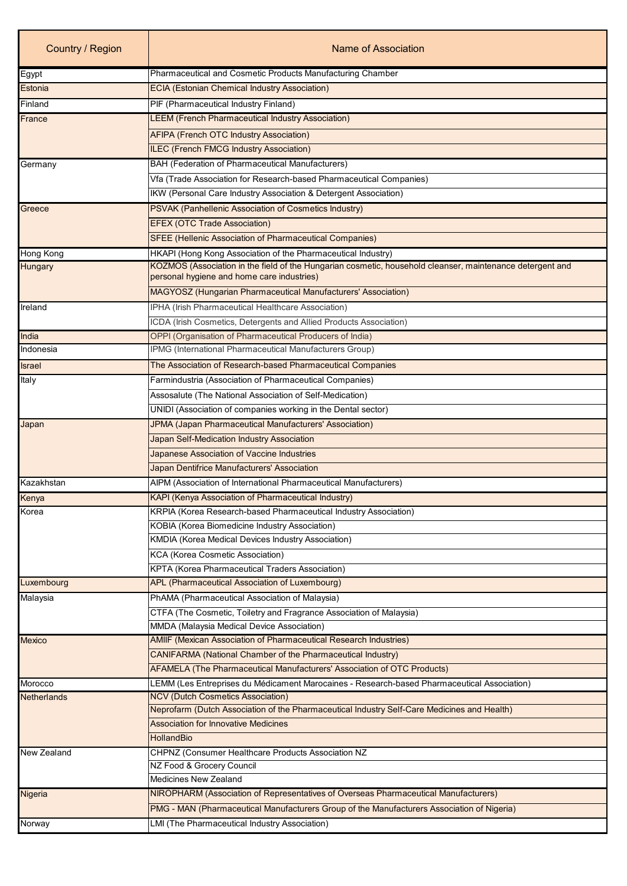| Country / Region   | Name of Association                                                                                                                                     |
|--------------------|---------------------------------------------------------------------------------------------------------------------------------------------------------|
| Egypt              | Pharmaceutical and Cosmetic Products Manufacturing Chamber                                                                                              |
| Estonia            | <b>ECIA (Estonian Chemical Industry Association)</b>                                                                                                    |
| Finland            | PIF (Pharmaceutical Industry Finland)                                                                                                                   |
| France             | <b>LEEM</b> (French Pharmaceutical Industry Association)                                                                                                |
|                    | <b>AFIPA (French OTC Industry Association)</b>                                                                                                          |
|                    | ILEC (French FMCG Industry Association)                                                                                                                 |
| Germany            | <b>BAH (Federation of Pharmaceutical Manufacturers)</b>                                                                                                 |
|                    | Vfa (Trade Association for Research-based Pharmaceutical Companies)                                                                                     |
|                    | IKW (Personal Care Industry Association & Detergent Association)                                                                                        |
| Greece             | PSVAK (Panhellenic Association of Cosmetics Industry)                                                                                                   |
|                    | <b>EFEX (OTC Trade Association)</b>                                                                                                                     |
|                    | <b>SFEE (Hellenic Association of Pharmaceutical Companies)</b>                                                                                          |
| Hong Kong          | HKAPI (Hong Kong Association of the Pharmaceutical Industry)                                                                                            |
| Hungary            | KOZMOS (Association in the field of the Hungarian cosmetic, household cleanser, maintenance detergent and<br>personal hygiene and home care industries) |
|                    | MAGYOSZ (Hungarian Pharmaceutical Manufacturers' Association)                                                                                           |
| Ireland            | IPHA (Irish Pharmaceutical Healthcare Association)                                                                                                      |
|                    | ICDA (Irish Cosmetics, Detergents and Allied Products Association)                                                                                      |
| India              | OPPI (Organisation of Pharmaceutical Producers of India)                                                                                                |
| Indonesia          | IPMG (International Pharmaceutical Manufacturers Group)                                                                                                 |
| Israel             | The Association of Research-based Pharmaceutical Companies                                                                                              |
| Italy              | Farmindustria (Association of Pharmaceutical Companies)                                                                                                 |
|                    | Assosalute (The National Association of Self-Medication)                                                                                                |
|                    | UNIDI (Association of companies working in the Dental sector)                                                                                           |
| Japan              | JPMA (Japan Pharmaceutical Manufacturers' Association)                                                                                                  |
|                    | Japan Self-Medication Industry Association                                                                                                              |
|                    | Japanese Association of Vaccine Industries                                                                                                              |
|                    | Japan Dentifrice Manufacturers' Association                                                                                                             |
| Kazakhstan         | AIPM (Association of International Pharmaceutical Manufacturers)                                                                                        |
| Kenya              | KAPI (Kenya Association of Pharmaceutical Industry)                                                                                                     |
| Korea              | KRPIA (Korea Research-based Pharmaceutical Industry Association)                                                                                        |
|                    | <b>KOBIA</b> (Korea Biomedicine Industry Association)                                                                                                   |
|                    | KMDIA (Korea Medical Devices Industry Association)                                                                                                      |
|                    | <b>KCA</b> (Korea Cosmetic Association)                                                                                                                 |
|                    | KPTA (Korea Pharmaceutical Traders Association)                                                                                                         |
| Luxembourg         | APL (Pharmaceutical Association of Luxembourg)                                                                                                          |
| Malaysia           | PhAMA (Pharmaceutical Association of Malaysia)                                                                                                          |
|                    | CTFA (The Cosmetic, Toiletry and Fragrance Association of Malaysia)                                                                                     |
|                    | MMDA (Malaysia Medical Device Association)                                                                                                              |
| <b>Mexico</b>      | AMIIF (Mexican Association of Pharmaceutical Research Industries)                                                                                       |
|                    | <b>CANIFARMA (National Chamber of the Pharmaceutical Industry)</b>                                                                                      |
|                    | AFAMELA (The Pharmaceutical Manufacturers' Association of OTC Products)                                                                                 |
| Morocco            | LEMM (Les Entreprises du Médicament Marocaines - Research-based Pharmaceutical Association)                                                             |
| <b>Netherlands</b> | <b>NCV (Dutch Cosmetics Association)</b>                                                                                                                |
|                    | Neprofarm (Dutch Association of the Pharmaceutical Industry Self-Care Medicines and Health)                                                             |
|                    | <b>Association for Innovative Medicines</b>                                                                                                             |
|                    | <b>HollandBio</b>                                                                                                                                       |
| New Zealand        | CHPNZ (Consumer Healthcare Products Association NZ                                                                                                      |
|                    | NZ Food & Grocery Council<br><b>Medicines New Zealand</b>                                                                                               |
| Nigeria            | NIROPHARM (Association of Representatives of Overseas Pharmaceutical Manufacturers)                                                                     |
|                    |                                                                                                                                                         |
|                    | PMG - MAN (Pharmaceutical Manufacturers Group of the Manufacturers Association of Nigeria)                                                              |
| Norway             | LMI (The Pharmaceutical Industry Association)                                                                                                           |